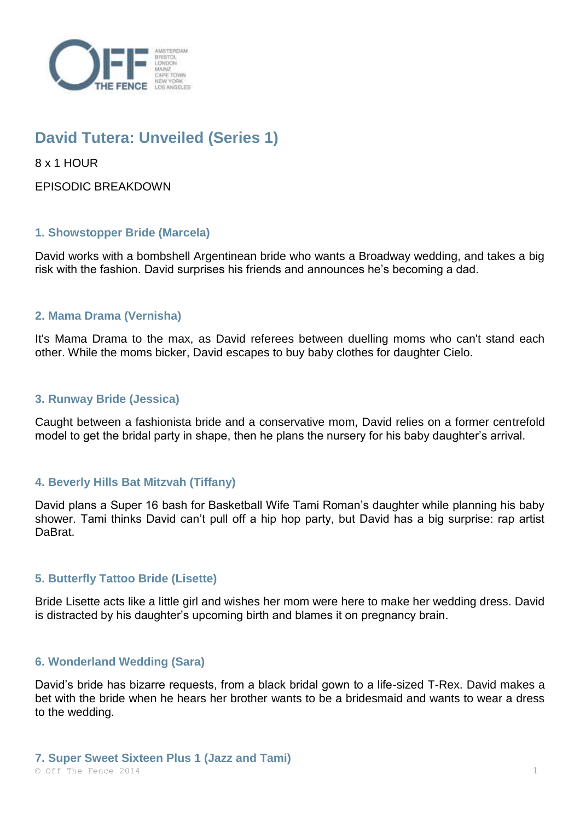

# **David Tutera: Unveiled (Series 1)**

8 x 1 HOUR

EPISODIC BREAKDOWN

## **1. Showstopper Bride (Marcela)**

David works with a bombshell Argentinean bride who wants a Broadway wedding, and takes a big risk with the fashion. David surprises his friends and announces he's becoming a dad.

# **2. Mama Drama (Vernisha)**

It's Mama Drama to the max, as David referees between duelling moms who can't stand each other. While the moms bicker, David escapes to buy baby clothes for daughter Cielo.

### **3. Runway Bride (Jessica)**

Caught between a fashionista bride and a conservative mom, David relies on a former centrefold model to get the bridal party in shape, then he plans the nursery for his baby daughter's arrival.

# **4. Beverly Hills Bat Mitzvah (Tiffany)**

David plans a Super 16 bash for Basketball Wife Tami Roman's daughter while planning his baby shower. Tami thinks David can't pull off a hip hop party, but David has a big surprise: rap artist DaBrat.

### **5. Butterfly Tattoo Bride (Lisette)**

Bride Lisette acts like a little girl and wishes her mom were here to make her wedding dress. David is distracted by his daughter's upcoming birth and blames it on pregnancy brain.

### **6. Wonderland Wedding (Sara)**

David's bride has bizarre requests, from a black bridal gown to a life-sized T-Rex. David makes a bet with the bride when he hears her brother wants to be a bridesmaid and wants to wear a dress to the wedding.